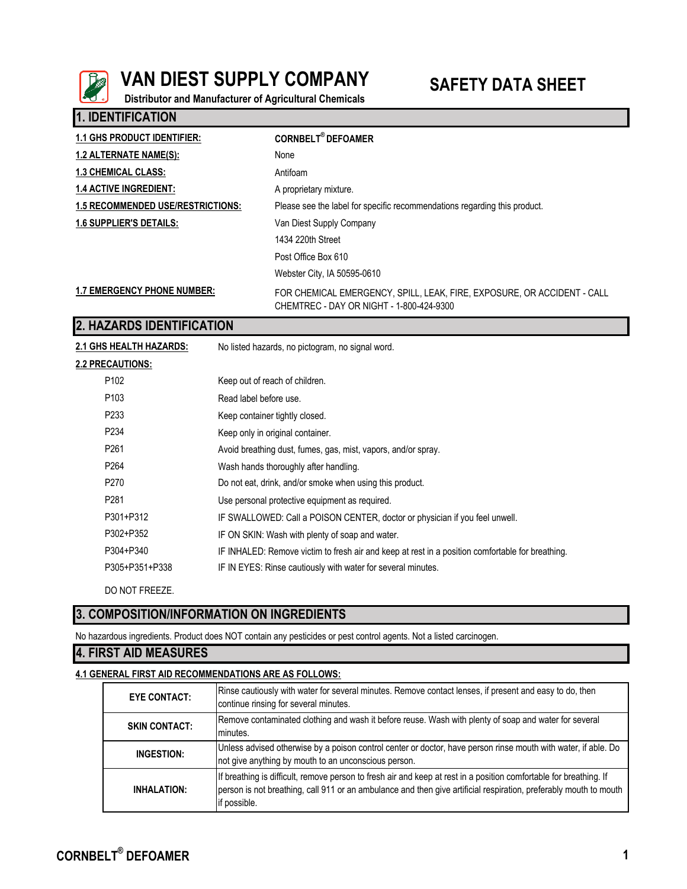

**1. IDENTIFICATION**

# **VAN DIEST SUPPLY COMPANY SAFETY DATA SHEET**

**Distributor and Manufacturer of Agricultural Chemicals**

| <b>1.1 GHS PRODUCT IDENTIFIER:</b>       | <b>CORNBELT<sup>®</sup> DEFOAMER</b>                                                                                |
|------------------------------------------|---------------------------------------------------------------------------------------------------------------------|
| <b>1.2 ALTERNATE NAME(S):</b>            | None                                                                                                                |
| <b>1.3 CHEMICAL CLASS:</b>               | Antifoam                                                                                                            |
| <b>1.4 ACTIVE INGREDIENT:</b>            | A proprietary mixture.                                                                                              |
| <b>1.5 RECOMMENDED USE/RESTRICTIONS:</b> | Please see the label for specific recommendations regarding this product.                                           |
| 1.6 SUPPLIER'S DETAILS:                  | Van Diest Supply Company                                                                                            |
|                                          | 1434 220th Street                                                                                                   |
|                                          | Post Office Box 610                                                                                                 |
|                                          | Webster City, IA 50595-0610                                                                                         |
| <b>1.7 EMERGENCY PHONE NUMBER:</b>       | FOR CHEMICAL EMERGENCY, SPILL, LEAK, FIRE, EXPOSURE, OR ACCIDENT - CALL<br>CHEMTREC - DAY OR NIGHT - 1-800-424-9300 |

## **2. HAZARDS IDENTIFICATION**

No listed hazards, no pictogram, no signal word. **2.2 PRECAUTIONS:** P102 Keep out of reach of children. P103 Read label before use. P233 Keep container tightly closed. P234 Keep only in original container. P261 Avoid breathing dust, fumes, gas, mist, vapors, and/or spray. P264 Wash hands thoroughly after handling. **2.1 GHS HEALTH HAZARDS:**

- P270 Do not eat, drink, and/or smoke when using this product.
- P281 Use personal protective equipment as required.
- P301+P312 IF SWALLOWED: Call a POISON CENTER, doctor or physician if you feel unwell.
- P302+P352 IF ON SKIN: Wash with plenty of soap and water.
- P304+P340 IF INHALED: Remove victim to fresh air and keep at rest in a position comfortable for breathing.
- P305+P351+P338 IF IN EYES: Rinse cautiously with water for several minutes.

DO NOT FREEZE.

# **3. COMPOSITION/INFORMATION ON INGREDIENTS**

No hazardous ingredients. Product does NOT contain any pesticides or pest control agents. Not a listed carcinogen.

### **4. FIRST AID MEASURES**

#### **4.1 GENERAL FIRST AID RECOMMENDATIONS ARE AS FOLLOWS:**

| <b>EYE CONTACT:</b>  | Rinse cautiously with water for several minutes. Remove contact lenses, if present and easy to do, then<br>continue rinsing for several minutes.                                                                                                        |
|----------------------|---------------------------------------------------------------------------------------------------------------------------------------------------------------------------------------------------------------------------------------------------------|
| <b>SKIN CONTACT:</b> | Remove contaminated clothing and wash it before reuse. Wash with plenty of soap and water for several<br>minutes.                                                                                                                                       |
| INGESTION:           | Unless advised otherwise by a poison control center or doctor, have person rinse mouth with water, if able. Do<br>not give anything by mouth to an unconscious person.                                                                                  |
| <b>INHALATION:</b>   | If breathing is difficult, remove person to fresh air and keep at rest in a position comfortable for breathing. If<br>person is not breathing, call 911 or an ambulance and then give artificial respiration, preferably mouth to mouth<br>if possible. |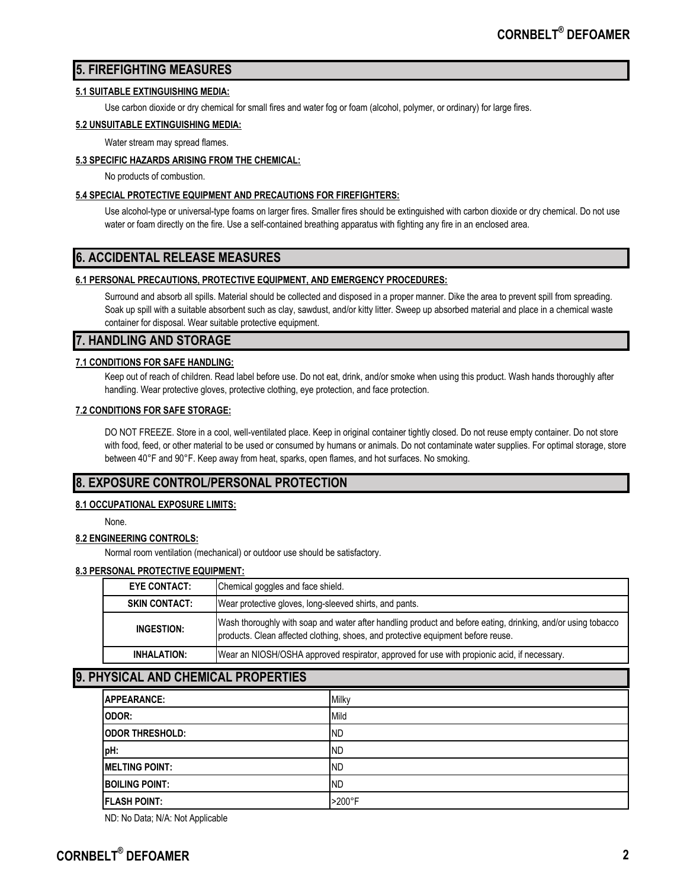# **5. FIREFIGHTING MEASURES**

#### **5.1 SUITABLE EXTINGUISHING MEDIA:**

Use carbon dioxide or dry chemical for small fires and water fog or foam (alcohol, polymer, or ordinary) for large fires.

#### **5.2 UNSUITABLE EXTINGUISHING MEDIA:**

Water stream may spread flames.

#### **5.3 SPECIFIC HAZARDS ARISING FROM THE CHEMICAL:**

No products of combustion.

#### **5.4 SPECIAL PROTECTIVE EQUIPMENT AND PRECAUTIONS FOR FIREFIGHTERS:**

Use alcohol-type or universal-type foams on larger fires. Smaller fires should be extinguished with carbon dioxide or dry chemical. Do not use water or foam directly on the fire. Use a self-contained breathing apparatus with fighting any fire in an enclosed area.

# **6. ACCIDENTAL RELEASE MEASURES**

#### **6.1 PERSONAL PRECAUTIONS, PROTECTIVE EQUIPMENT, AND EMERGENCY PROCEDURES:**

Surround and absorb all spills. Material should be collected and disposed in a proper manner. Dike the area to prevent spill from spreading. Soak up spill with a suitable absorbent such as clay, sawdust, and/or kitty litter. Sweep up absorbed material and place in a chemical waste container for disposal. Wear suitable protective equipment.

### **7. HANDLING AND STORAGE**

#### **7.1 CONDITIONS FOR SAFE HANDLING:**

Keep out of reach of children. Read label before use. Do not eat, drink, and/or smoke when using this product. Wash hands thoroughly after handling. Wear protective gloves, protective clothing, eye protection, and face protection.

#### **7.2 CONDITIONS FOR SAFE STORAGE:**

DO NOT FREEZE. Store in a cool, well-ventilated place. Keep in original container tightly closed. Do not reuse empty container. Do not store with food, feed, or other material to be used or consumed by humans or animals. Do not contaminate water supplies. For optimal storage, store between 40°F and 90°F. Keep away from heat, sparks, open flames, and hot surfaces. No smoking.

# **8. EXPOSURE CONTROL/PERSONAL PROTECTION**

#### **8.1 OCCUPATIONAL EXPOSURE LIMITS:**

None.

#### **8.2 ENGINEERING CONTROLS:**

Normal room ventilation (mechanical) or outdoor use should be satisfactory.

#### **8.3 PERSONAL PROTECTIVE EQUIPMENT:**

| <b>EYE CONTACT:</b>  | Chemical goggles and face shield.                                                                                                                                                                |
|----------------------|--------------------------------------------------------------------------------------------------------------------------------------------------------------------------------------------------|
| <b>SKIN CONTACT:</b> | Wear protective gloves, long-sleeved shirts, and pants.                                                                                                                                          |
| INGESTION:           | Wash thoroughly with soap and water after handling product and before eating, drinking, and/or using tobacco<br>products. Clean affected clothing, shoes, and protective equipment before reuse. |
| INHALATION:          | Wear an NIOSH/OSHA approved respirator, approved for use with propionic acid, if necessary.                                                                                                      |
|                      |                                                                                                                                                                                                  |

# **9. PHYSICAL AND CHEMICAL PROPERTIES**

| <b>APPEARANCE:</b>      | Milky     |
|-------------------------|-----------|
| ODOR:                   | Mild      |
| <b>IODOR THRESHOLD:</b> | <b>ND</b> |
| pH:                     | <b>ND</b> |
| <b>MELTING POINT:</b>   | <b>ND</b> |
| <b>BOILING POINT:</b>   | <b>ND</b> |
| <b>FLASH POINT:</b>     | >200°F    |

ND: No Data; N/A: Not Applicable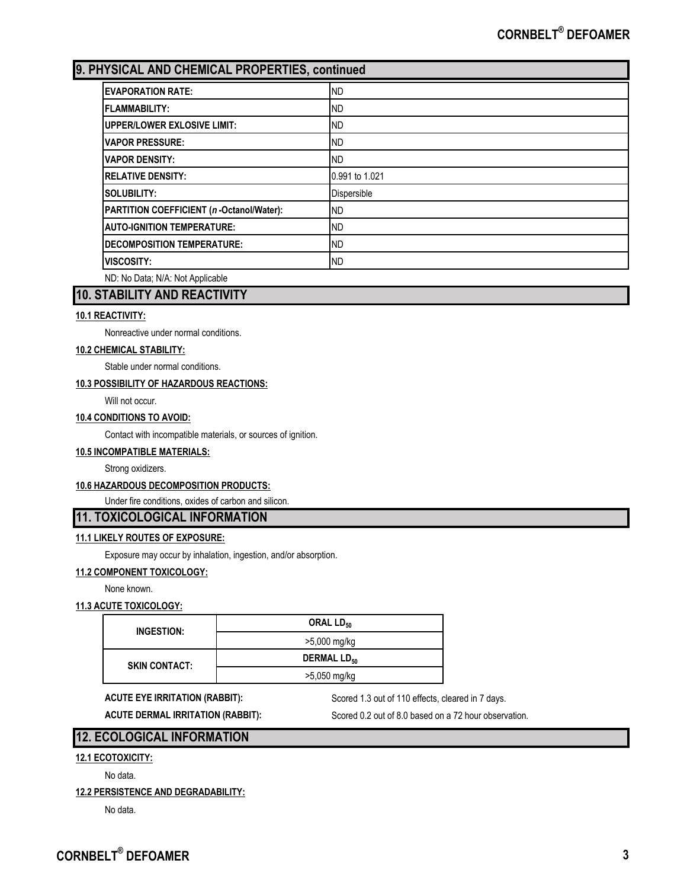# **9. PHYSICAL AND CHEMICAL PROPERTIES, continued**

| <b>EVAPORATION RATE:</b>                 | <b>ND</b>      |
|------------------------------------------|----------------|
| <b>FLAMMABILITY:</b>                     | <b>ND</b>      |
| <b>UPPER/LOWER EXLOSIVE LIMIT:</b>       | <b>ND</b>      |
| <b>VAPOR PRESSURE:</b>                   | <b>ND</b>      |
| <b>VAPOR DENSITY:</b>                    | <b>ND</b>      |
| <b>RELATIVE DENSITY:</b>                 | 0.991 to 1.021 |
| SOLUBILITY:                              | Dispersible    |
| PARTITION COEFFICIENT (n-Octanol/Water): | <b>ND</b>      |
| <b>AUTO-IGNITION TEMPERATURE:</b>        | <b>ND</b>      |
| <b>DECOMPOSITION TEMPERATURE:</b>        | <b>ND</b>      |
| <b>VISCOSITY:</b>                        | <b>ND</b>      |
| ND: No Data; N/A: Not Applicable         |                |

# **10. STABILITY AND REACTIVITY**

#### **10.1 REACTIVITY:**

Nonreactive under normal conditions.

#### **10.2 CHEMICAL STABILITY:**

Stable under normal conditions.

#### **10.3 POSSIBILITY OF HAZARDOUS REACTIONS:**

Will not occur.

#### **10.4 CONDITIONS TO AVOID:**

Contact with incompatible materials, or sources of ignition.

### **10.5 INCOMPATIBLE MATERIALS:**

Strong oxidizers.

#### **10.6 HAZARDOUS DECOMPOSITION PRODUCTS:**

Under fire conditions, oxides of carbon and silicon.

# **11. TOXICOLOGICAL INFORMATION**

#### **11.1 LIKELY ROUTES OF EXPOSURE:**

Exposure may occur by inhalation, ingestion, and/or absorption.

**11.2 COMPONENT TOXICOLOGY:**

None known.

### **11.3 ACUTE TOXICOLOGY:**

| INGESTION:           | ORAL LD <sub>50</sub>         |
|----------------------|-------------------------------|
|                      | >5,000 mg/kg                  |
| <b>SKIN CONTACT:</b> | <b>DERMAL LD<sub>50</sub></b> |
|                      | >5,050 mg/kg                  |

ACUTE EYE IRRITATION (RABBIT): Scored 1.3 out of 110 effects, cleared in 7 days.

**ACUTE DERMAL IRRITATION (RABBIT):** Scored 0.2 out of 8.0 based on a 72 hour observation.

## **12. ECOLOGICAL INFORMATION**

#### **12.1 ECOTOXICITY:**

No data.

#### **12.2 PERSISTENCE AND DEGRADABILITY:**

No data.